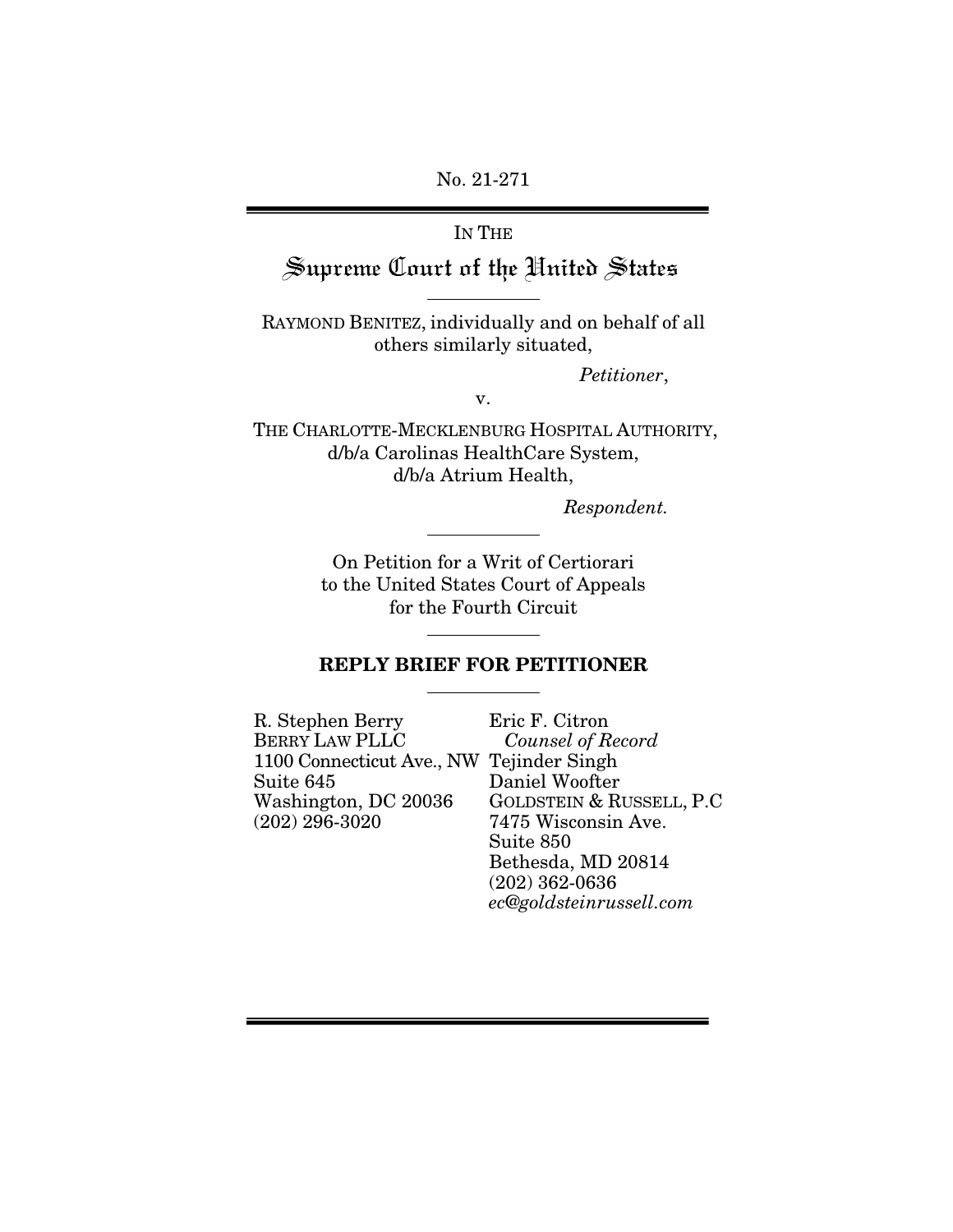No. 21-271

# IN THE Supreme Court of the United States

RAYMOND BENITEZ, individually and on behalf of all others similarly situated,

*Petitioner*,

v.

THE CHARLOTTE-MECKLENBURG HOSPITAL AUTHORITY, d/b/a Carolinas HealthCare System, d/b/a Atrium Health,

*Respondent.*

On Petition for a Writ of Certiorari to the United States Court of Appeals for the Fourth Circuit

### REPLY BRIEF FOR PETITIONER

| R. Stephen Berry                         | Eric F. Citron            |
|------------------------------------------|---------------------------|
| <b>BERRY LAW PLLC</b>                    | Counsel of Record         |
| 1100 Connecticut Ave., NW Tejinder Singh |                           |
| Suite 645                                | Daniel Woofter            |
| Washington, DC 20036                     | GOLDSTEIN & RUSSELL, P.C. |
| $(202)$ 296-3020                         | 7475 Wisconsin Ave.       |
|                                          | Suite 850                 |
|                                          | Bethesda, MD 20814        |
|                                          | $(202)$ 362-0636          |
|                                          | ec@goldsteinrussell.com   |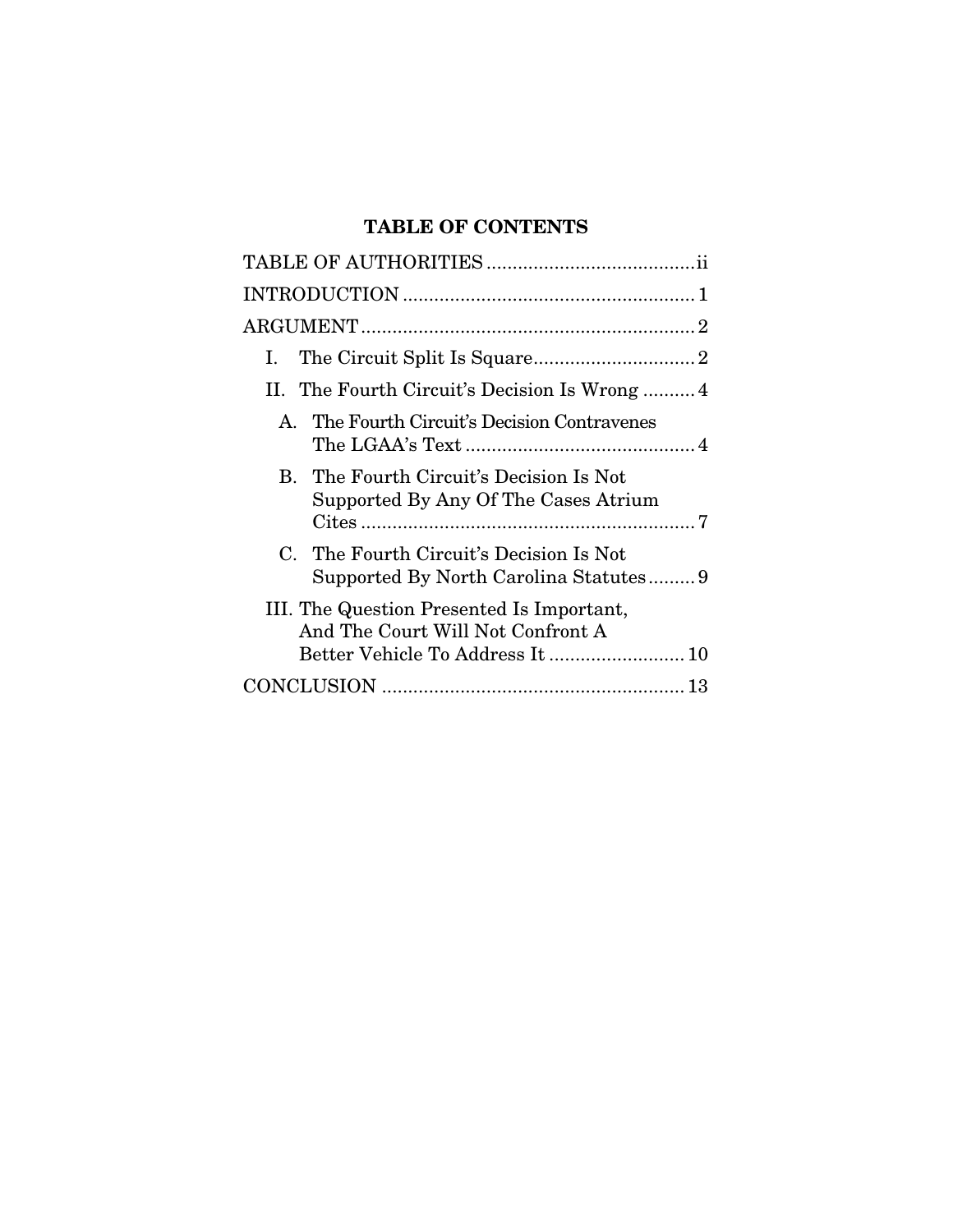# TABLE OF CONTENTS

| T.                                                                                                                |
|-------------------------------------------------------------------------------------------------------------------|
| II. The Fourth Circuit's Decision Is Wrong  4                                                                     |
| A. The Fourth Circuit's Decision Contravenes                                                                      |
| B. The Fourth Circuit's Decision Is Not<br>Supported By Any Of The Cases Atrium                                   |
| C. The Fourth Circuit's Decision Is Not<br>Supported By North Carolina Statutes9                                  |
| III. The Question Presented Is Important,<br>And The Court Will Not Confront A<br>Better Vehicle To Address It 10 |
|                                                                                                                   |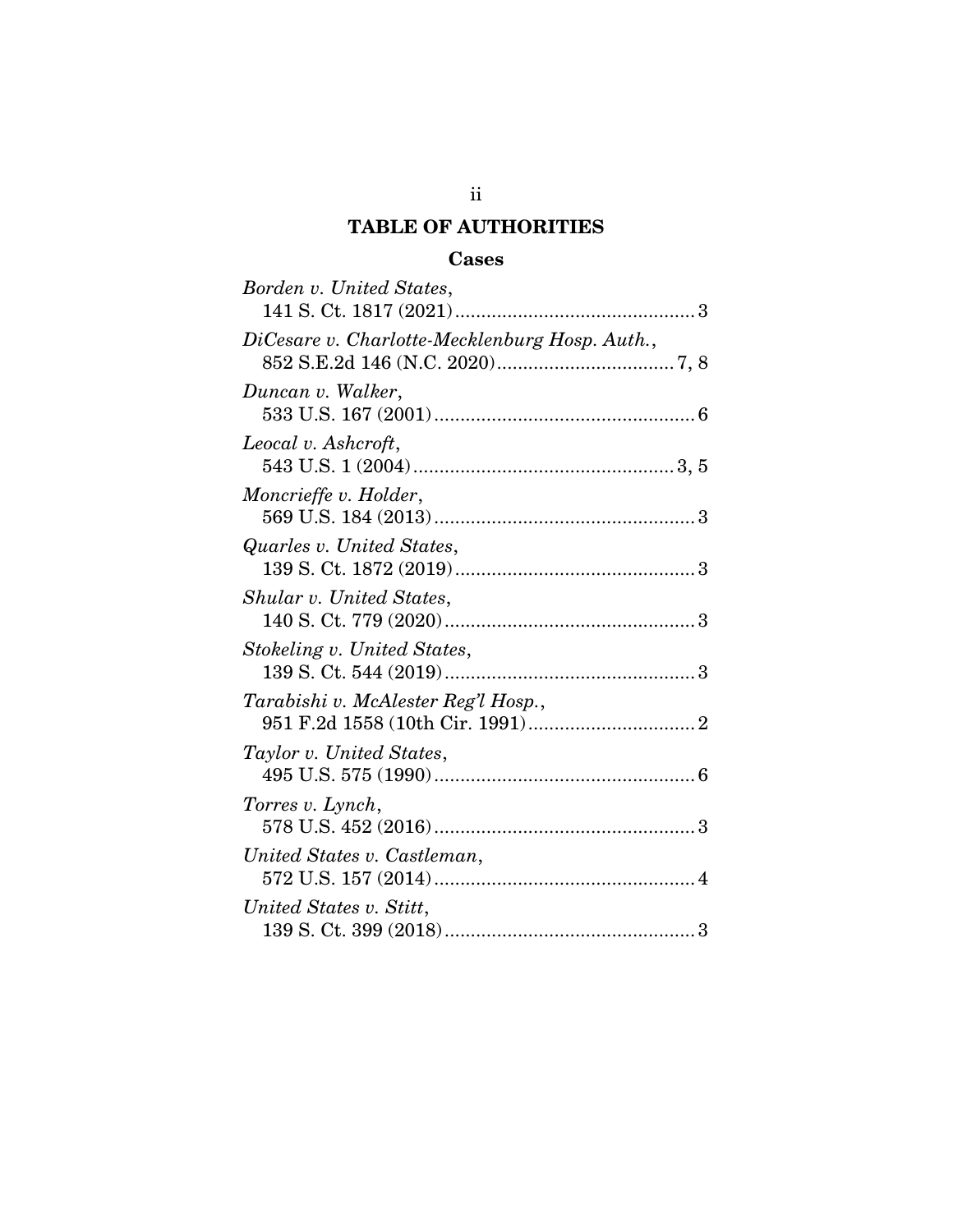# TABLE OF AUTHORITIES

# Cases

<span id="page-2-0"></span>

| Borden v. United States,                       |
|------------------------------------------------|
| DiCesare v. Charlotte-Mecklenburg Hosp. Auth., |
| Duncan v. Walker,                              |
| Leocal v. Ashcroft,                            |
| Moncrieffe v. Holder,                          |
| Quarles v. United States,                      |
| Shular v. United States,                       |
| Stokeling v. United States,                    |
| Tarabishi v. McAlester Reg'l Hosp.,            |
| Taylor v. United States,                       |
| Torres v. Lynch,                               |
| United States v. Castleman,                    |
| United States v. Stitt,                        |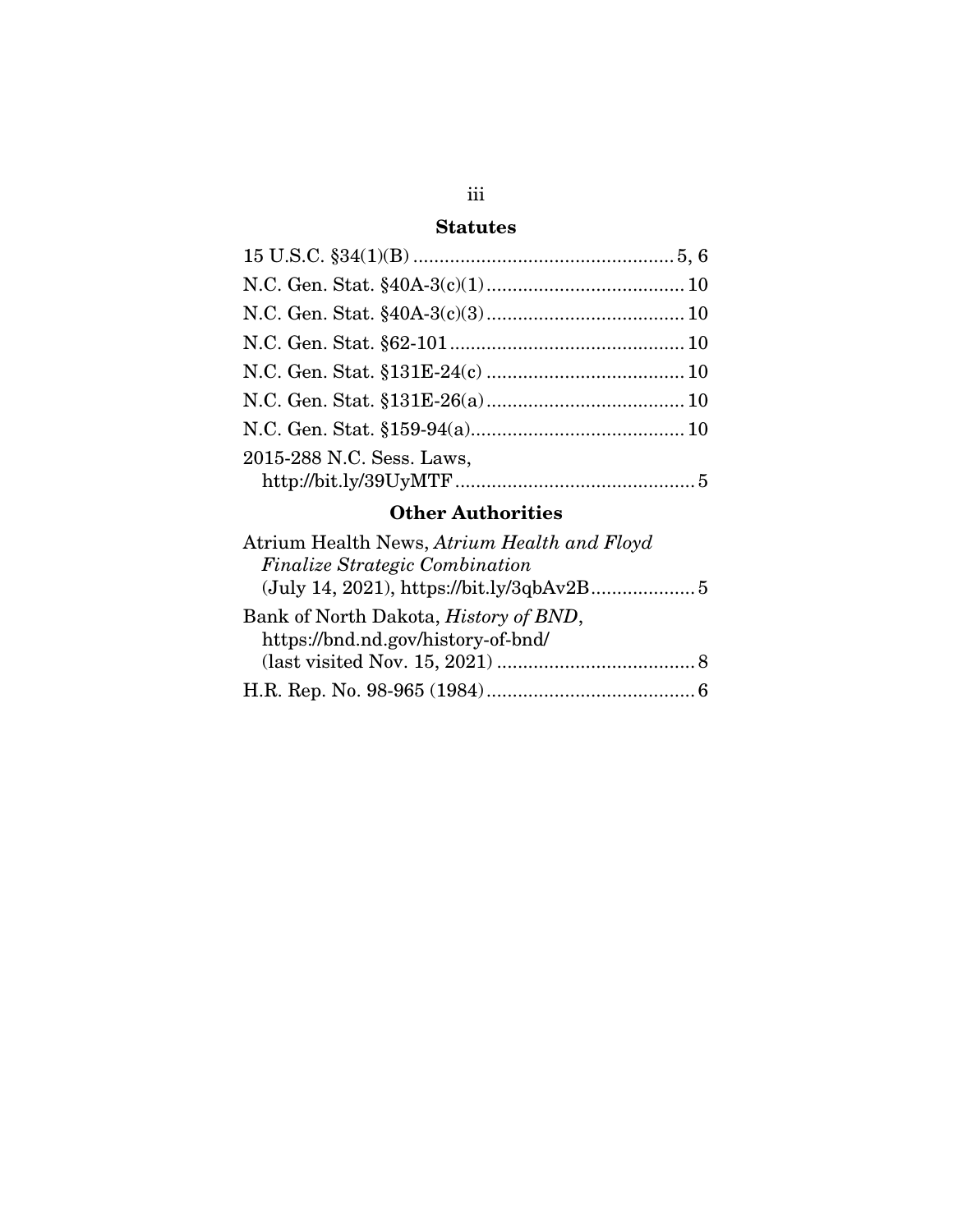# Statutes

| 2015-288 N.C. Sess. Laws, |  |
|---------------------------|--|
|                           |  |

# Other Authorities

| Atrium Health News, Atrium Health and Floyd   |  |
|-----------------------------------------------|--|
| <b>Finalize Strategic Combination</b>         |  |
|                                               |  |
| Bank of North Dakota, <i>History of BND</i> , |  |
| https://bnd.nd.gov/history-of-bnd/            |  |
|                                               |  |
|                                               |  |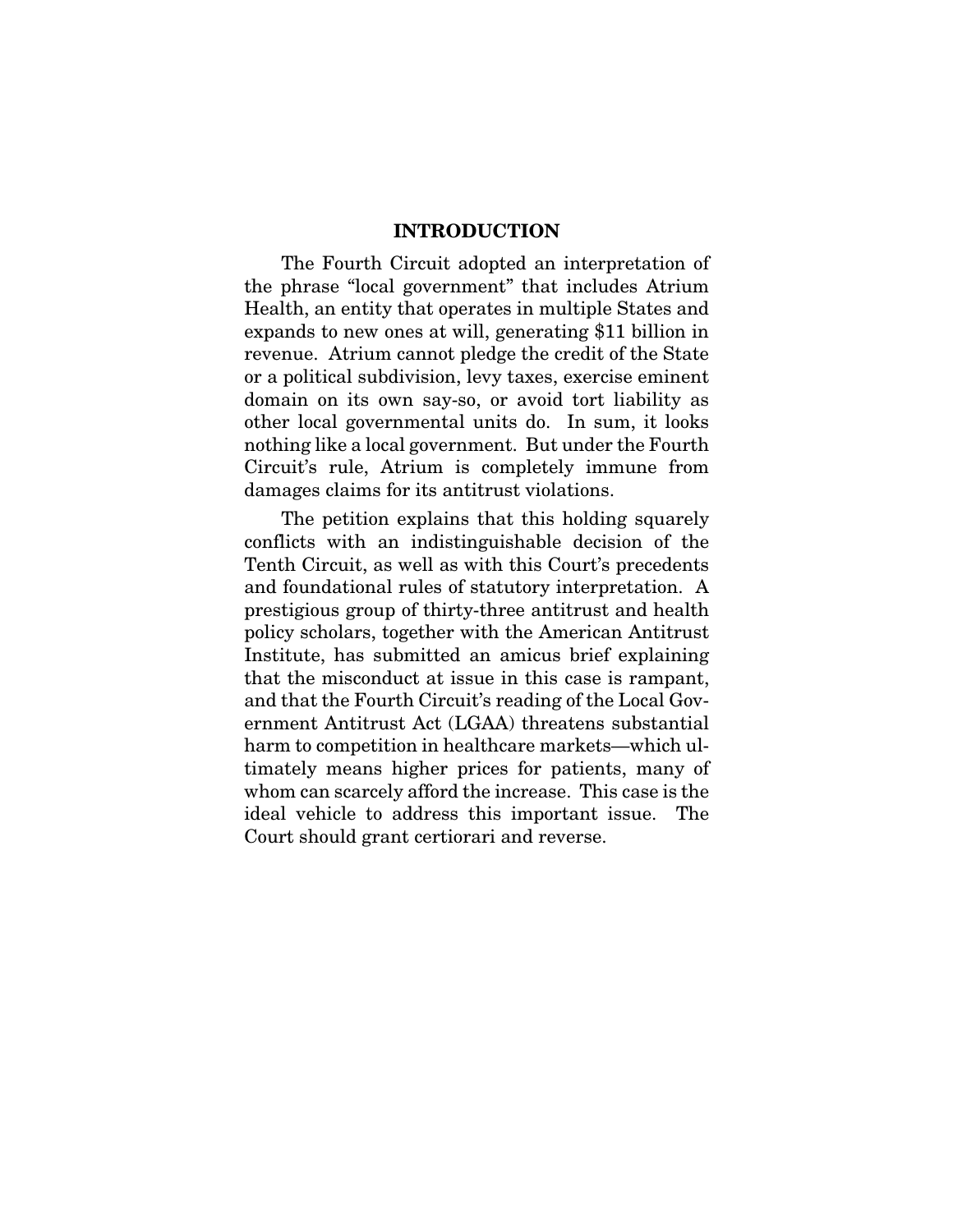#### INTRODUCTION

<span id="page-4-0"></span>The Fourth Circuit adopted an interpretation of the phrase "local government" that includes Atrium Health, an entity that operates in multiple States and expands to new ones at will, generating \$11 billion in revenue. Atrium cannot pledge the credit of the State or a political subdivision, levy taxes, exercise eminent domain on its own say-so, or avoid tort liability as other local governmental units do. In sum, it looks nothing like a local government. But under the Fourth Circuit's rule, Atrium is completely immune from damages claims for its antitrust violations.

The petition explains that this holding squarely conflicts with an indistinguishable decision of the Tenth Circuit, as well as with this Court's precedents and foundational rules of statutory interpretation. A prestigious group of thirty-three antitrust and health policy scholars, together with the American Antitrust Institute, has submitted an amicus brief explaining that the misconduct at issue in this case is rampant, and that the Fourth Circuit's reading of the Local Government Antitrust Act (LGAA) threatens substantial harm to competition in healthcare markets—which ultimately means higher prices for patients, many of whom can scarcely afford the increase. This case is the ideal vehicle to address this important issue. The Court should grant certiorari and reverse.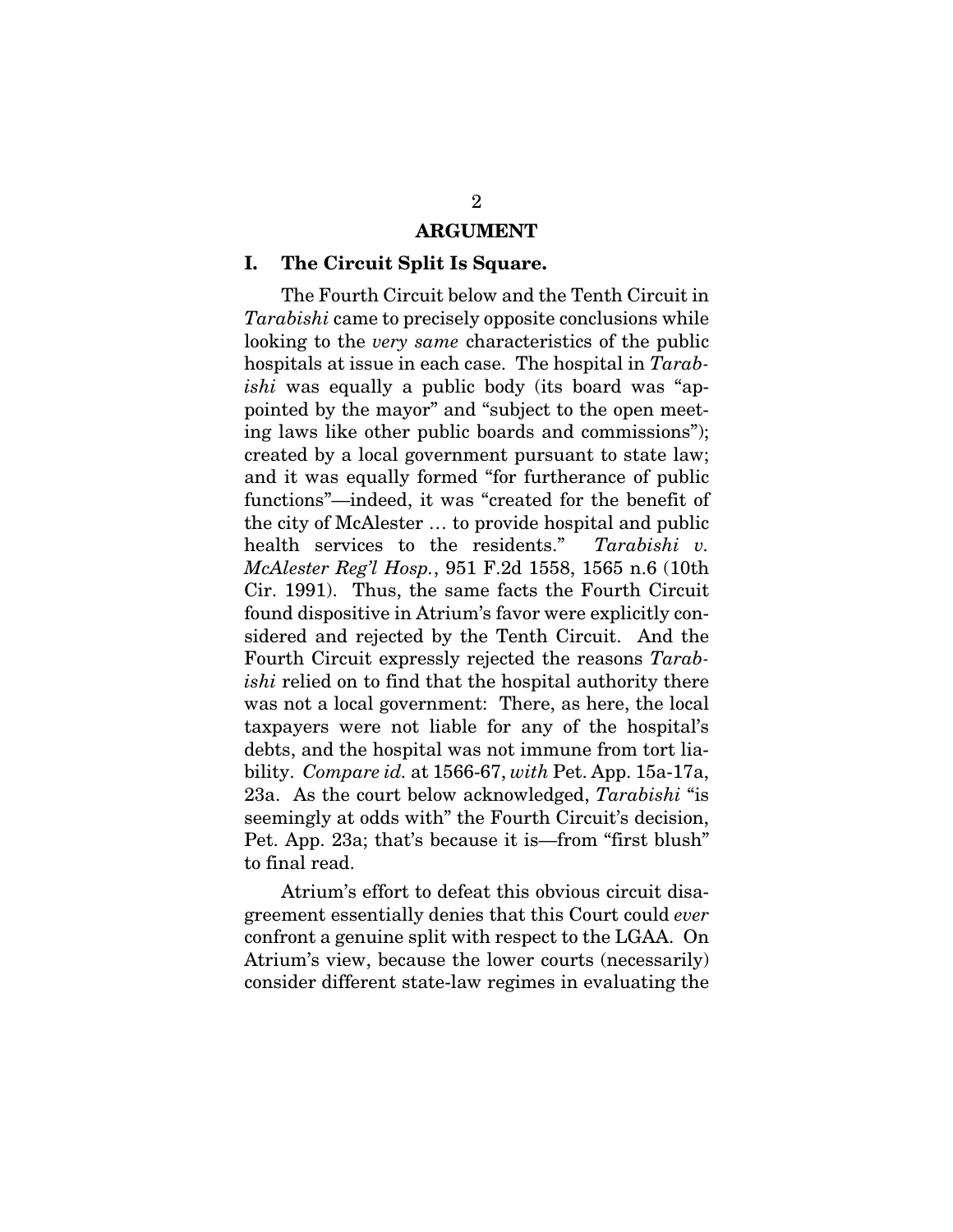#### ARGUMENT

#### <span id="page-5-1"></span><span id="page-5-0"></span>I. The Circuit Split Is Square.

The Fourth Circuit below and the Tenth Circuit in *Tarabishi* came to precisely opposite conclusions while looking to the *very same* characteristics of the public hospitals at issue in each case. The hospital in *Tarabishi* was equally a public body (its board was "appointed by the mayor" and "subject to the open meeting laws like other public boards and commissions"); created by a local government pursuant to state law; and it was equally formed "for furtherance of public functions"—indeed, it was "created for the benefit of the city of McAlester … to provide hospital and public health services to the residents." *Tarabishi v. McAlester Reg'l Hosp.*, 951 F.2d 1558, 1565 n.6 (10th Cir. 1991). Thus, the same facts the Fourth Circuit found dispositive in Atrium's favor were explicitly considered and rejected by the Tenth Circuit. And the Fourth Circuit expressly rejected the reasons *Tarabishi* relied on to find that the hospital authority there was not a local government: There, as here, the local taxpayers were not liable for any of the hospital's debts, and the hospital was not immune from tort liability. *Compare id.* at 1566-67, *with* Pet. App. 15a-17a, 23a. As the court below acknowledged, *Tarabishi* "is seemingly at odds with" the Fourth Circuit's decision, Pet. App. 23a; that's because it is—from "first blush" to final read.

Atrium's effort to defeat this obvious circuit disagreement essentially denies that this Court could *ever*  confront a genuine split with respect to the LGAA. On Atrium's view, because the lower courts (necessarily) consider different state-law regimes in evaluating the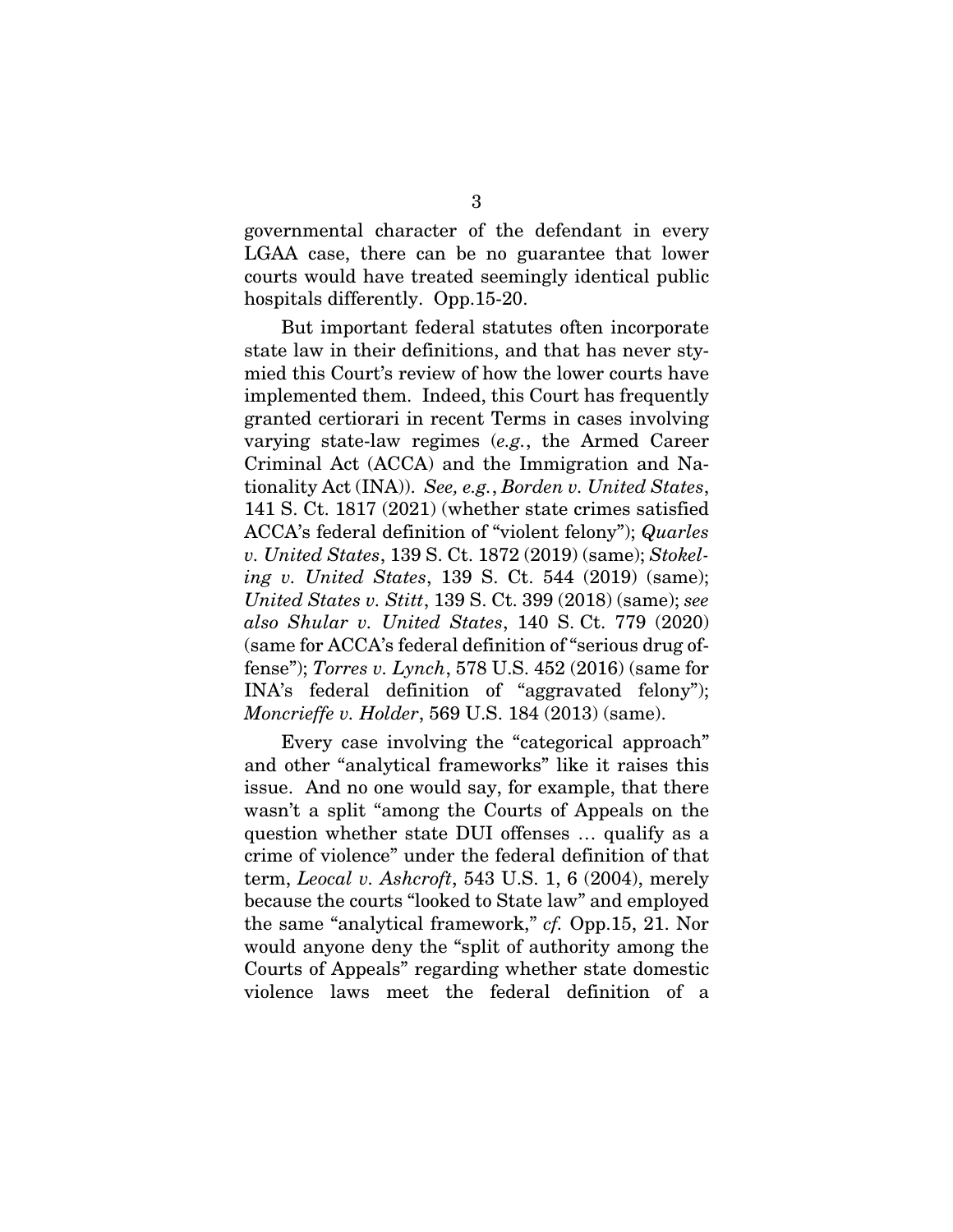governmental character of the defendant in every LGAA case, there can be no guarantee that lower courts would have treated seemingly identical public hospitals differently. Opp.15-20.

But important federal statutes often incorporate state law in their definitions, and that has never stymied this Court's review of how the lower courts have implemented them. Indeed, this Court has frequently granted certiorari in recent Terms in cases involving varying state-law regimes (*e.g.*, the Armed Career Criminal Act (ACCA) and the Immigration and Nationality Act (INA)). *See, e.g.*, *Borden v. United States*, 141 S. Ct. 1817 (2021) (whether state crimes satisfied ACCA's federal definition of "violent felony"); *Quarles v. United States*, 139 S. Ct. 1872 (2019) (same); *Stokeling v. United States*, 139 S. Ct. 544 (2019) (same); *United States v. Stitt*, 139 S. Ct. 399 (2018) (same); *see also Shular v. United States*, 140 S. Ct. 779 (2020) (same for ACCA's federal definition of "serious drug offense"); *Torres v. Lynch*, 578 U.S. 452 (2016) (same for INA's federal definition of "aggravated felony"); *Moncrieffe v. Holder*, 569 U.S. 184 (2013) (same).

Every case involving the "categorical approach" and other "analytical frameworks" like it raises this issue. And no one would say, for example, that there wasn't a split "among the Courts of Appeals on the question whether state DUI offenses … qualify as a crime of violence" under the federal definition of that term, *Leocal v. Ashcroft*, 543 U.S. 1, 6 (2004), merely because the courts "looked to State law" and employed the same "analytical framework," *cf.* Opp.15, 21. Nor would anyone deny the "split of authority among the Courts of Appeals" regarding whether state domestic violence laws meet the federal definition of a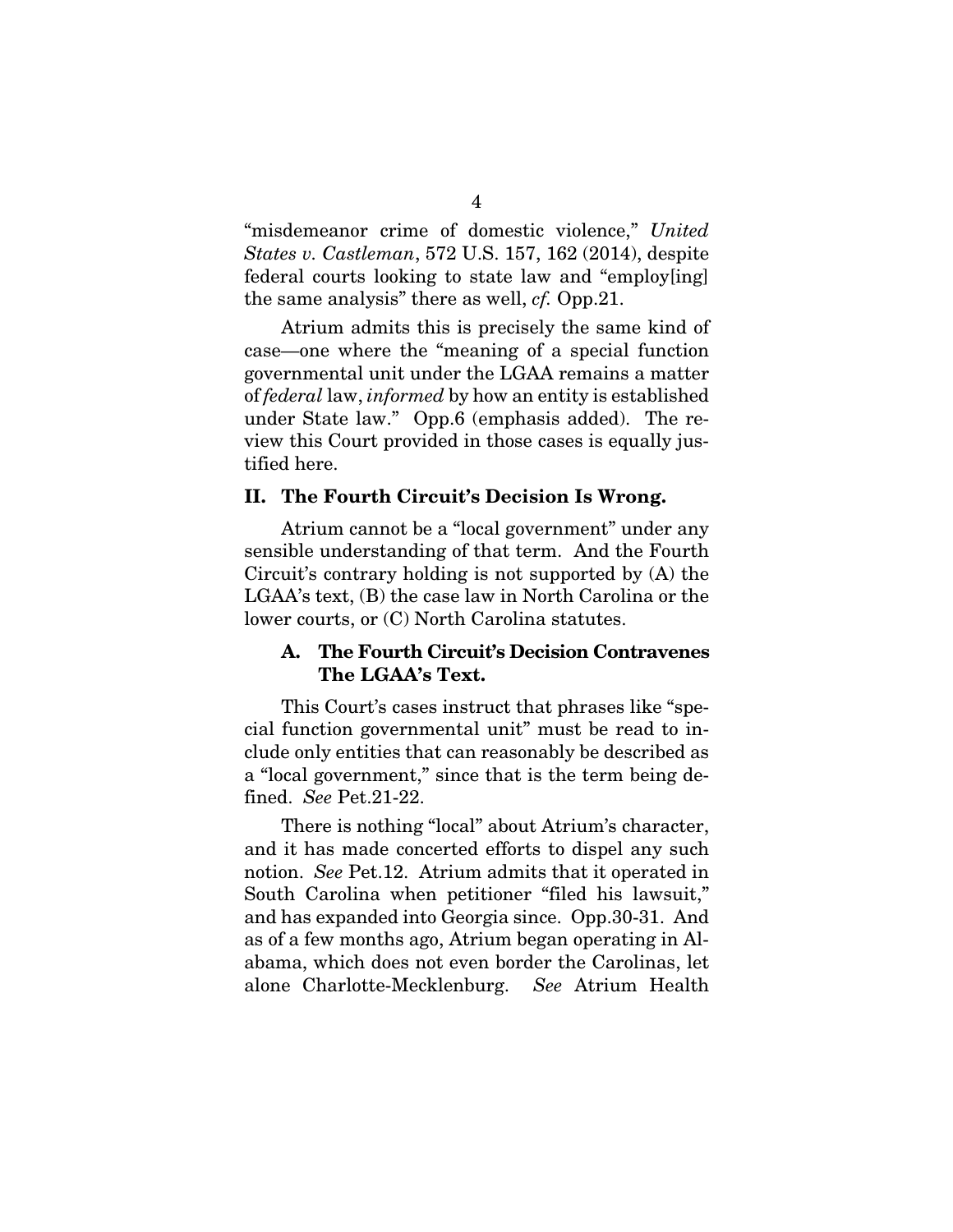"misdemeanor crime of domestic violence," *United States v. Castleman*, 572 U.S. 157, 162 (2014), despite federal courts looking to state law and "employ[ing] the same analysis" there as well, *cf.* Opp.21.

Atrium admits this is precisely the same kind of case—one where the "meaning of a special function governmental unit under the LGAA remains a matter of *federal* law, *informed* by how an entity is established under State law." Opp.6 (emphasis added). The review this Court provided in those cases is equally justified here.

#### <span id="page-7-0"></span>II. The Fourth Circuit's Decision Is Wrong.

Atrium cannot be a "local government" under any sensible understanding of that term. And the Fourth Circuit's contrary holding is not supported by (A) the LGAA's text, (B) the case law in North Carolina or the lower courts, or (C) North Carolina statutes.

# <span id="page-7-1"></span>A. The Fourth Circuit's Decision Contravenes The LGAA's Text.

This Court's cases instruct that phrases like "special function governmental unit" must be read to include only entities that can reasonably be described as a "local government," since that is the term being defined. *See* Pet.21-22.

There is nothing "local" about Atrium's character, and it has made concerted efforts to dispel any such notion. *See* Pet.12. Atrium admits that it operated in South Carolina when petitioner "filed his lawsuit," and has expanded into Georgia since. Opp.30-31. And as of a few months ago, Atrium began operating in Alabama, which does not even border the Carolinas, let alone Charlotte-Mecklenburg. *See* Atrium Health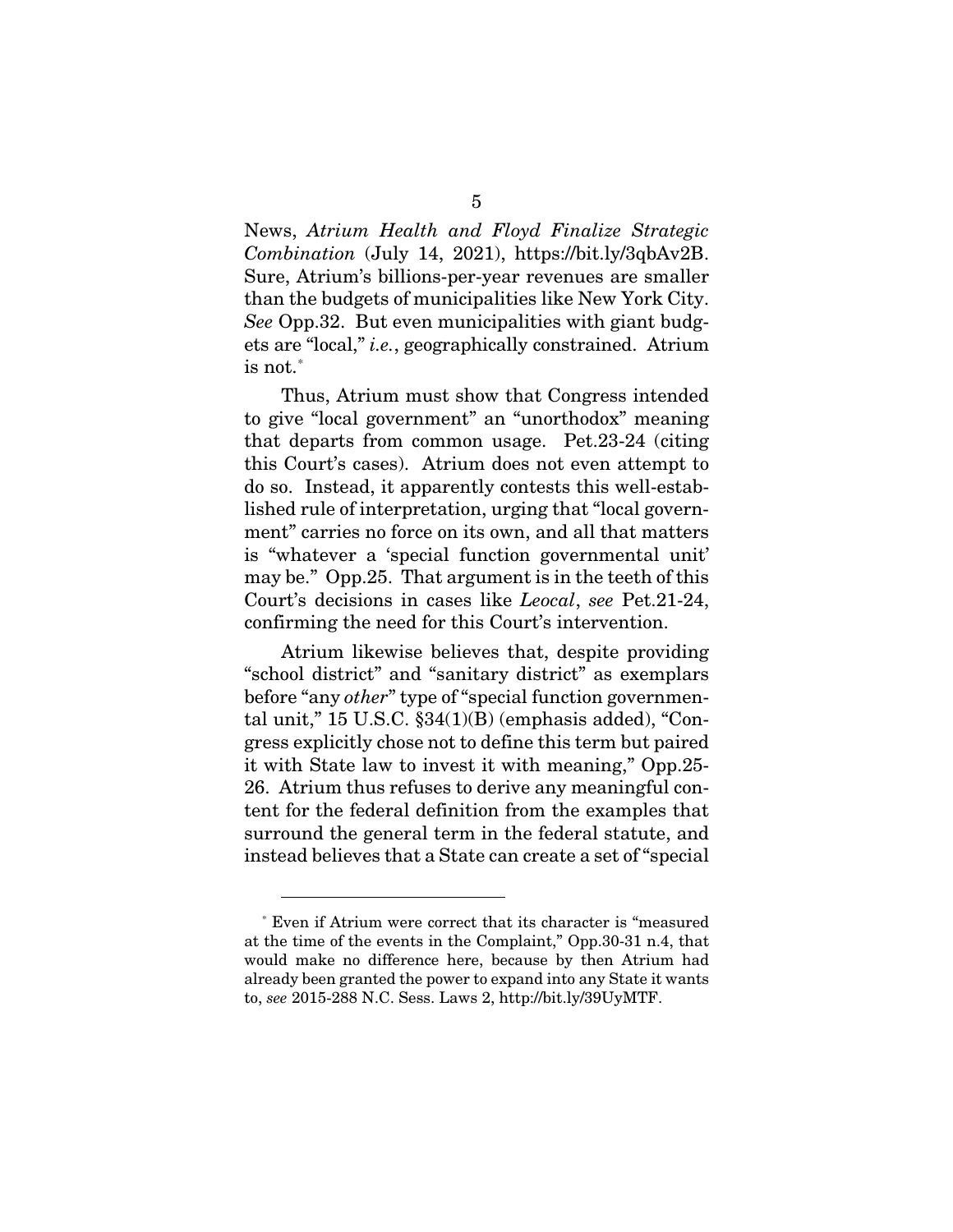News, *Atrium Health and Floyd Finalize Strategic Combination* (July 14, 2021), https://bit.ly/3qbAv2B. Sure, Atrium's billions-per-year revenues are smaller than the budgets of municipalities like New York City. *See* Opp.32. But even municipalities with giant budgets are "local," *i.e.*, geographically constrained. Atrium  $\mathrm{is~not.}^*$  $\mathrm{is~not.}^*$ 

Thus, Atrium must show that Congress intended to give "local government" an "unorthodox" meaning that departs from common usage. Pet.23-24 (citing this Court's cases). Atrium does not even attempt to do so. Instead, it apparently contests this well-established rule of interpretation, urging that "local government" carries no force on its own, and all that matters is "whatever a 'special function governmental unit' may be." Opp.25. That argument is in the teeth of this Court's decisions in cases like *Leocal*, *see* Pet.21-24, confirming the need for this Court's intervention.

Atrium likewise believes that, despite providing "school district" and "sanitary district" as exemplars before "any *other*" type of "special function governmental unit,"  $15$  U.S.C.  $$34(1)(B)$  (emphasis added), "Congress explicitly chose not to define this term but paired it with State law to invest it with meaning," Opp.25- 26. Atrium thus refuses to derive any meaningful content for the federal definition from the examples that surround the general term in the federal statute, and instead believes that a State can create a set of "special

<span id="page-8-0"></span>Even if Atrium were correct that its character is "measured" at the time of the events in the Complaint," Opp.30-31 n.4, that would make no difference here, because by then Atrium had already been granted the power to expand into any State it wants to, *see* 2015-288 N.C. Sess. Laws 2, http://bit.ly/39UyMTF.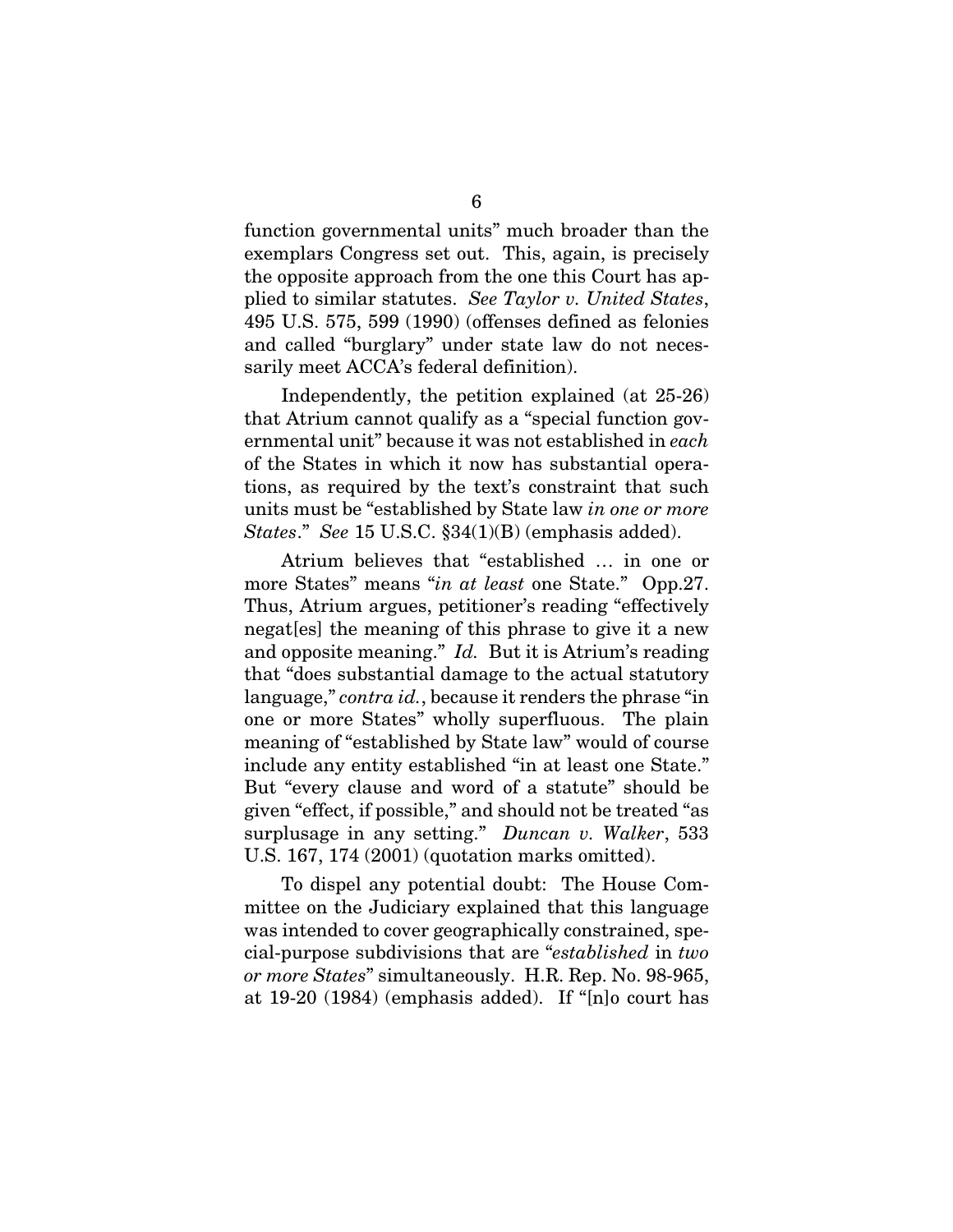function governmental units" much broader than the exemplars Congress set out. This, again, is precisely the opposite approach from the one this Court has applied to similar statutes. *See Taylor v. United States*, 495 U.S. 575, 599 (1990) (offenses defined as felonies and called "burglary" under state law do not necessarily meet ACCA's federal definition).

Independently, the petition explained (at 25-26) that Atrium cannot qualify as a "special function governmental unit" because it was not established in *each*  of the States in which it now has substantial operations, as required by the text's constraint that such units must be "established by State law *in one or more States*." *See* 15 U.S.C. §34(1)(B) (emphasis added).

Atrium believes that "established … in one or more States" means "*in at least* one State." Opp.27. Thus, Atrium argues, petitioner's reading "effectively negat[es] the meaning of this phrase to give it a new and opposite meaning." *Id.* But it is Atrium's reading that "does substantial damage to the actual statutory language," *contra id.*, because it renders the phrase "in one or more States" wholly superfluous. The plain meaning of "established by State law" would of course include any entity established "in at least one State." But "every clause and word of a statute" should be given "effect, if possible," and should not be treated "as surplusage in any setting." *Duncan v. Walker*, 533 U.S. 167, 174 (2001) (quotation marks omitted).

To dispel any potential doubt: The House Committee on the Judiciary explained that this language was intended to cover geographically constrained, special-purpose subdivisions that are "*established* in *two or more States*" simultaneously. H.R. Rep. No. 98-965, at 19-20 (1984) (emphasis added). If "[n]o court has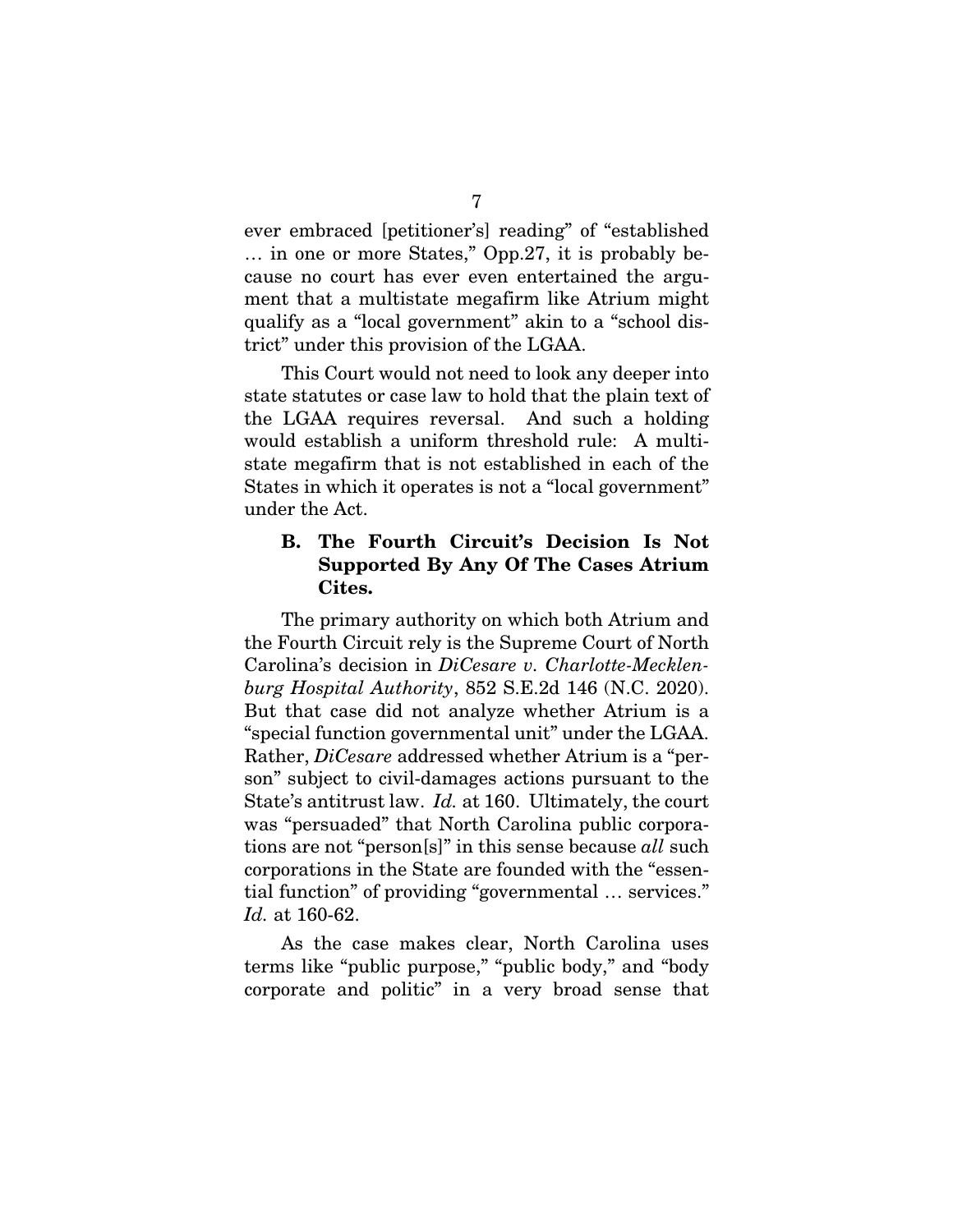ever embraced [petitioner's] reading" of "established … in one or more States," Opp.27, it is probably because no court has ever even entertained the argument that a multistate megafirm like Atrium might qualify as a "local government" akin to a "school district" under this provision of the LGAA.

This Court would not need to look any deeper into state statutes or case law to hold that the plain text of the LGAA requires reversal. And such a holding would establish a uniform threshold rule: A multistate megafirm that is not established in each of the States in which it operates is not a "local government" under the Act.

## <span id="page-10-0"></span>B. The Fourth Circuit's Decision Is Not Supported By Any Of The Cases Atrium Cites.

The primary authority on which both Atrium and the Fourth Circuit rely is the Supreme Court of North Carolina's decision in *DiCesare v. Charlotte-Mecklenburg Hospital Authority*, 852 S.E.2d 146 (N.C. 2020). But that case did not analyze whether Atrium is a "special function governmental unit" under the LGAA. Rather, *DiCesare* addressed whether Atrium is a "person" subject to civil-damages actions pursuant to the State's antitrust law. *Id.* at 160. Ultimately, the court was "persuaded" that North Carolina public corporations are not "person[s]" in this sense because *all* such corporations in the State are founded with the "essential function" of providing "governmental … services." *Id.* at 160-62.

As the case makes clear, North Carolina uses terms like "public purpose," "public body," and "body corporate and politic" in a very broad sense that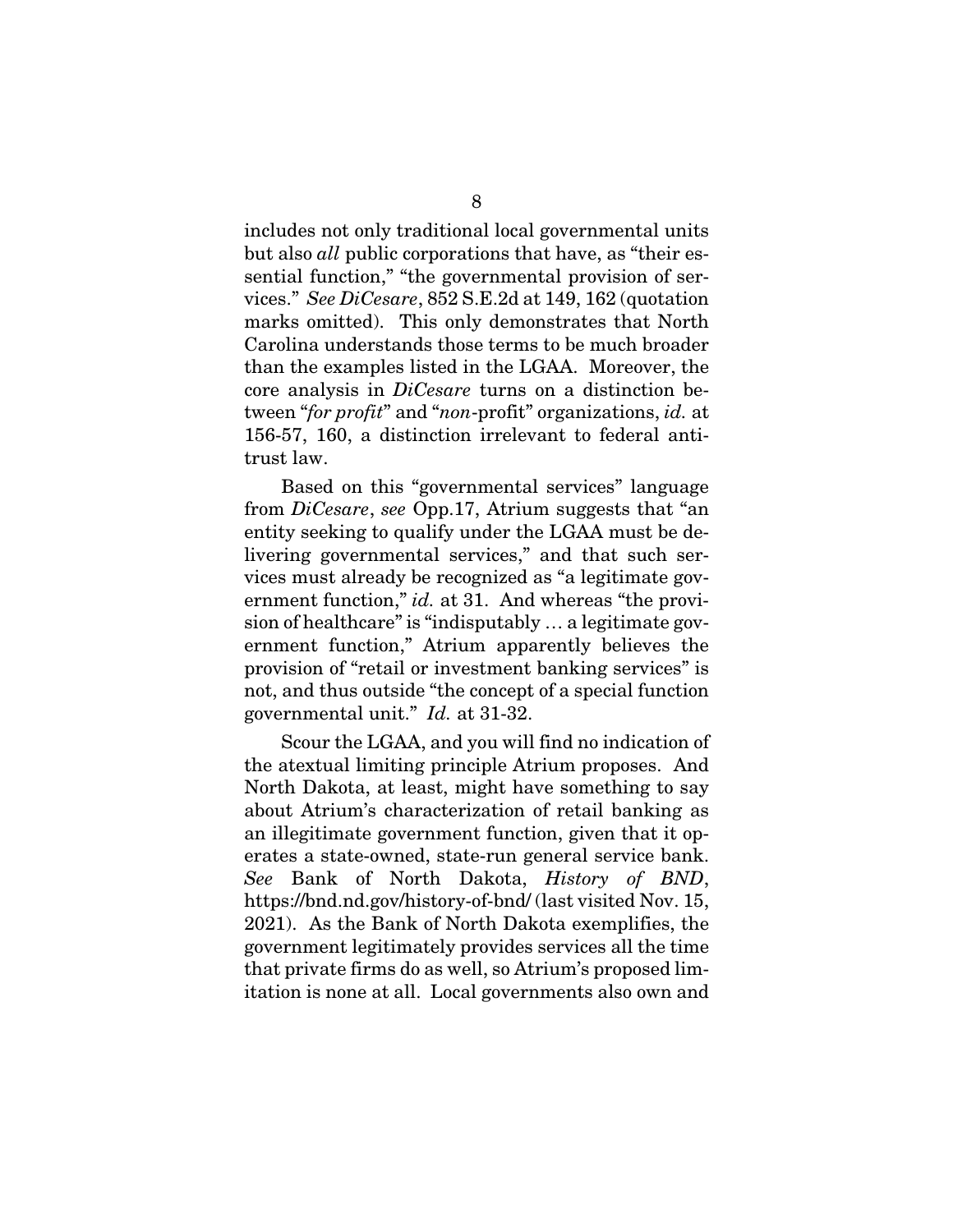includes not only traditional local governmental units but also *all* public corporations that have, as "their essential function," "the governmental provision of services." *See DiCesare*, 852 S.E.2d at 149, 162 (quotation marks omitted). This only demonstrates that North Carolina understands those terms to be much broader than the examples listed in the LGAA. Moreover, the core analysis in *DiCesare* turns on a distinction between "*for profit*" and "*non*-profit" organizations, *id.* at 156-57, 160, a distinction irrelevant to federal antitrust law.

Based on this "governmental services" language from *DiCesare*, *see* Opp.17, Atrium suggests that "an entity seeking to qualify under the LGAA must be delivering governmental services," and that such services must already be recognized as "a legitimate government function," *id.* at 31. And whereas "the provision of healthcare" is "indisputably … a legitimate government function," Atrium apparently believes the provision of "retail or investment banking services" is not, and thus outside "the concept of a special function governmental unit." *Id.* at 31-32.

Scour the LGAA, and you will find no indication of the atextual limiting principle Atrium proposes. And North Dakota, at least, might have something to say about Atrium's characterization of retail banking as an illegitimate government function, given that it operates a state-owned, state-run general service bank. *See* Bank of North Dakota, *History of BND*, https://bnd.nd.gov/history-of-bnd/ (last visited Nov. 15, 2021). As the Bank of North Dakota exemplifies, the government legitimately provides services all the time that private firms do as well, so Atrium's proposed limitation is none at all. Local governments also own and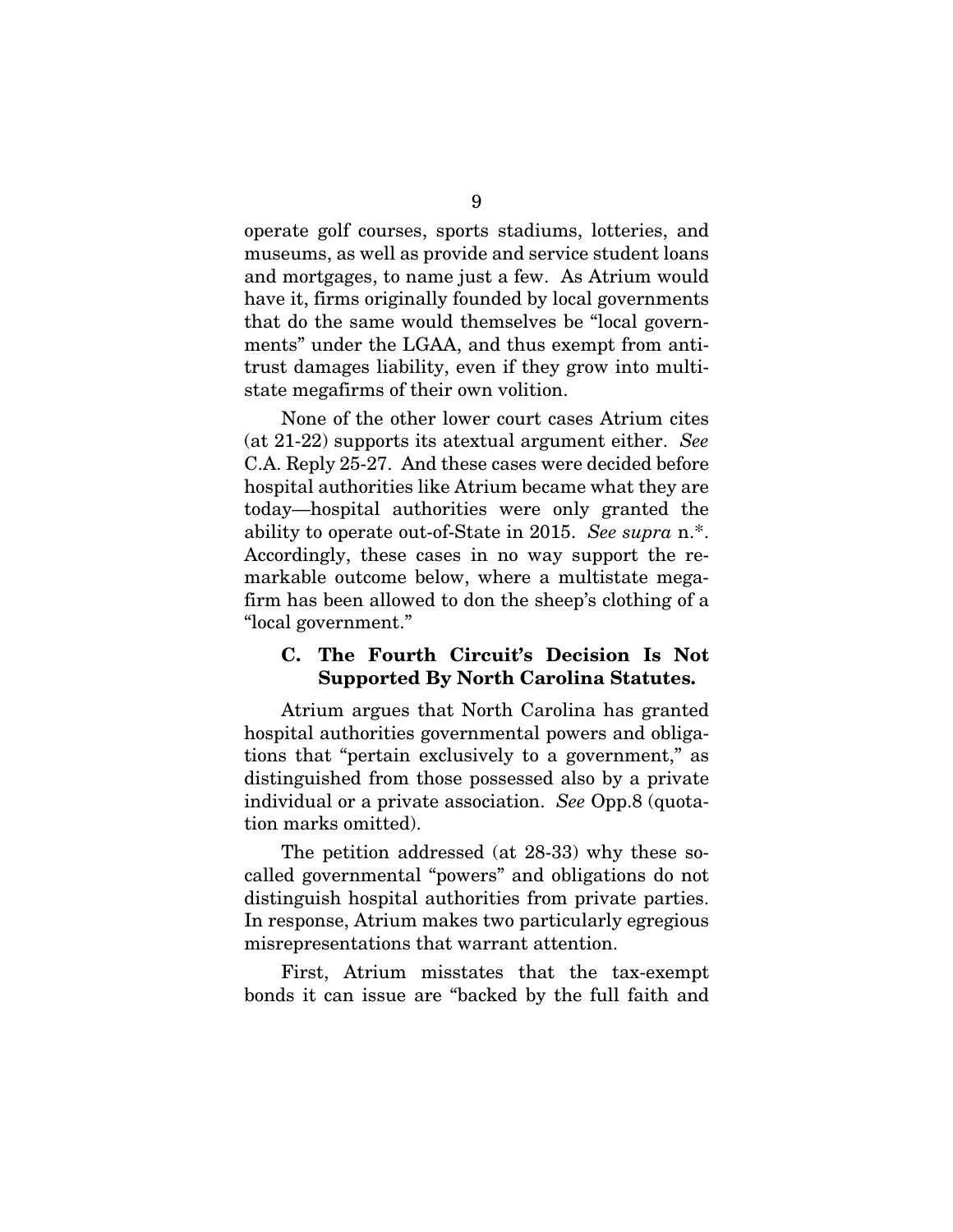operate golf courses, sports stadiums, lotteries, and museums, as well as provide and service student loans and mortgages, to name just a few. As Atrium would have it, firms originally founded by local governments that do the same would themselves be "local governments" under the LGAA, and thus exempt from antitrust damages liability, even if they grow into multistate megafirms of their own volition.

None of the other lower court cases Atrium cites (at 21-22) supports its atextual argument either. *See*  C.A. Reply 25-27. And these cases were decided before hospital authorities like Atrium became what they are today—hospital authorities were only granted the ability to operate out-of-State in 2015. *See supra* n.\*. Accordingly, these cases in no way support the remarkable outcome below, where a multistate megafirm has been allowed to don the sheep's clothing of a "local government."

### <span id="page-12-0"></span>C. The Fourth Circuit's Decision Is Not Supported By North Carolina Statutes.

Atrium argues that North Carolina has granted hospital authorities governmental powers and obligations that "pertain exclusively to a government," as distinguished from those possessed also by a private individual or a private association. *See* Opp.8 (quotation marks omitted).

The petition addressed (at 28-33) why these socalled governmental "powers" and obligations do not distinguish hospital authorities from private parties. In response, Atrium makes two particularly egregious misrepresentations that warrant attention.

First, Atrium misstates that the tax-exempt bonds it can issue are "backed by the full faith and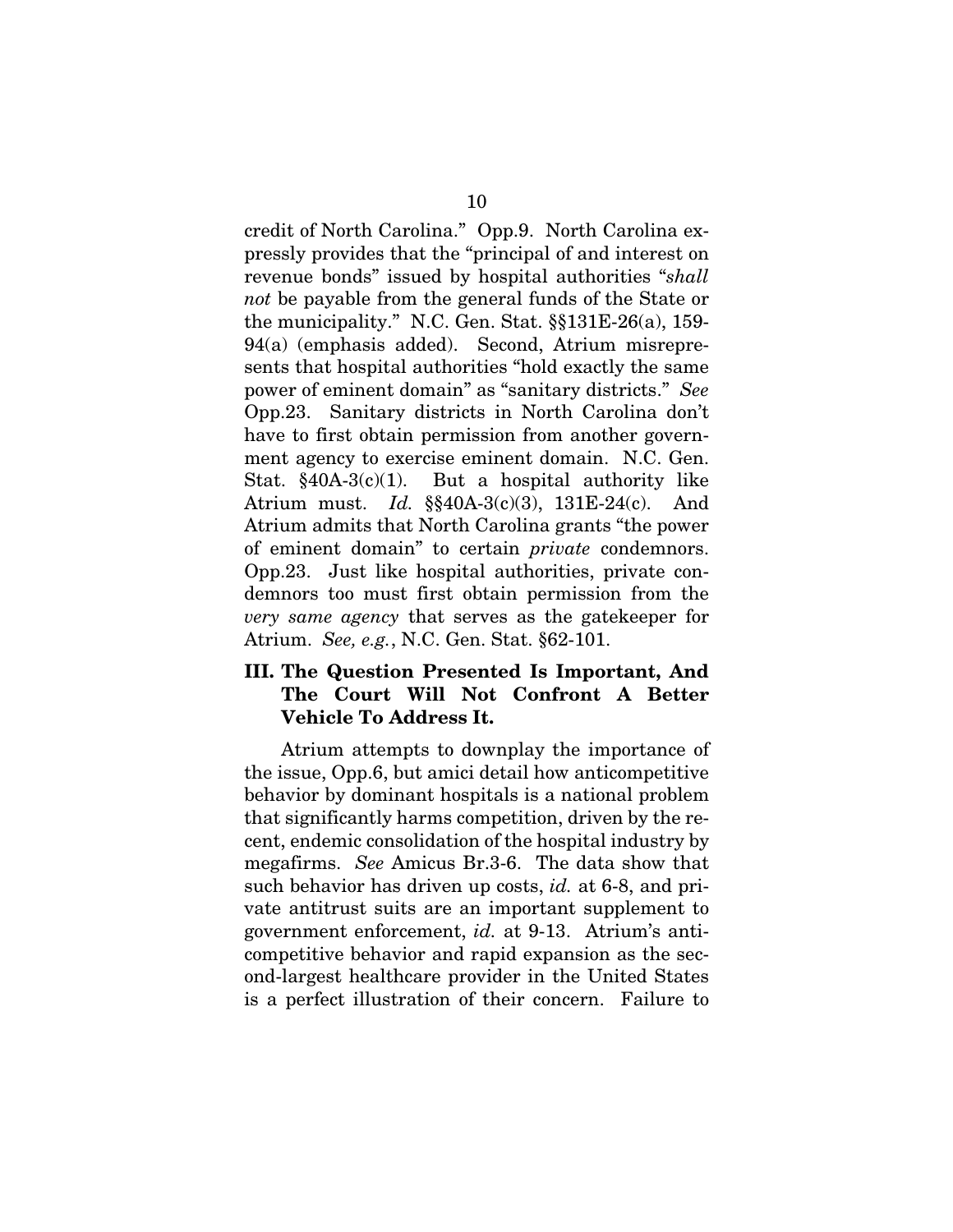credit of North Carolina." Opp.9. North Carolina expressly provides that the "principal of and interest on revenue bonds" issued by hospital authorities "*shall not* be payable from the general funds of the State or the municipality." N.C. Gen. Stat. §§131E-26(a), 159- 94(a) (emphasis added). Second, Atrium misrepresents that hospital authorities "hold exactly the same power of eminent domain" as "sanitary districts." *See*  Opp.23. Sanitary districts in North Carolina don't have to first obtain permission from another government agency to exercise eminent domain. N.C. Gen. Stat.  $§40A-3(c)(1)$ . But a hospital authority like Atrium must. *Id.* §§40A-3(c)(3), 131E-24(c). And Atrium admits that North Carolina grants "the power of eminent domain" to certain *private* condemnors. Opp.23. Just like hospital authorities, private condemnors too must first obtain permission from the *very same agency* that serves as the gatekeeper for Atrium. *See, e.g.*, N.C. Gen. Stat. §62-101.

## <span id="page-13-0"></span>III. The Question Presented Is Important, And The Court Will Not Confront A Better Vehicle To Address It.

Atrium attempts to downplay the importance of the issue, Opp.6, but amici detail how anticompetitive behavior by dominant hospitals is a national problem that significantly harms competition, driven by the recent, endemic consolidation of the hospital industry by megafirms. *See* Amicus Br.3-6. The data show that such behavior has driven up costs, *id.* at 6-8, and private antitrust suits are an important supplement to government enforcement, *id.* at 9-13. Atrium's anticompetitive behavior and rapid expansion as the second-largest healthcare provider in the United States is a perfect illustration of their concern. Failure to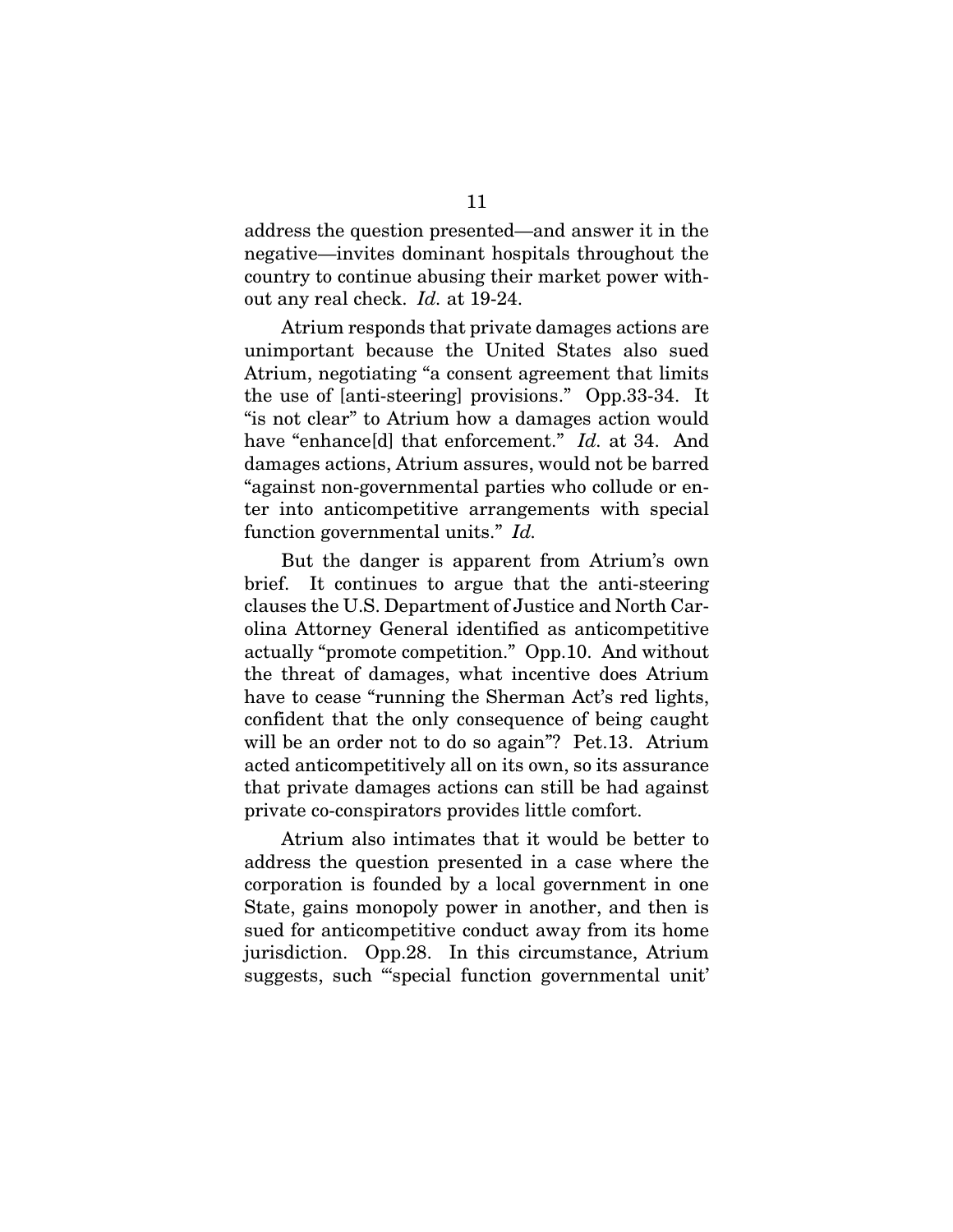address the question presented—and answer it in the negative—invites dominant hospitals throughout the country to continue abusing their market power without any real check. *Id.* at 19-24.

Atrium responds that private damages actions are unimportant because the United States also sued Atrium, negotiating "a consent agreement that limits the use of [anti-steering] provisions." Opp.33-34. It "is not clear" to Atrium how a damages action would have "enhance[d] that enforcement." *Id.* at 34. And damages actions, Atrium assures, would not be barred "against non-governmental parties who collude or enter into anticompetitive arrangements with special function governmental units." *Id.*

But the danger is apparent from Atrium's own brief. It continues to argue that the anti-steering clauses the U.S. Department of Justice and North Carolina Attorney General identified as anticompetitive actually "promote competition." Opp.10. And without the threat of damages, what incentive does Atrium have to cease "running the Sherman Act's red lights, confident that the only consequence of being caught will be an order not to do so again"? Pet.13. Atrium acted anticompetitively all on its own, so its assurance that private damages actions can still be had against private co-conspirators provides little comfort.

Atrium also intimates that it would be better to address the question presented in a case where the corporation is founded by a local government in one State, gains monopoly power in another, and then is sued for anticompetitive conduct away from its home jurisdiction. Opp.28. In this circumstance, Atrium suggests, such "'special function governmental unit'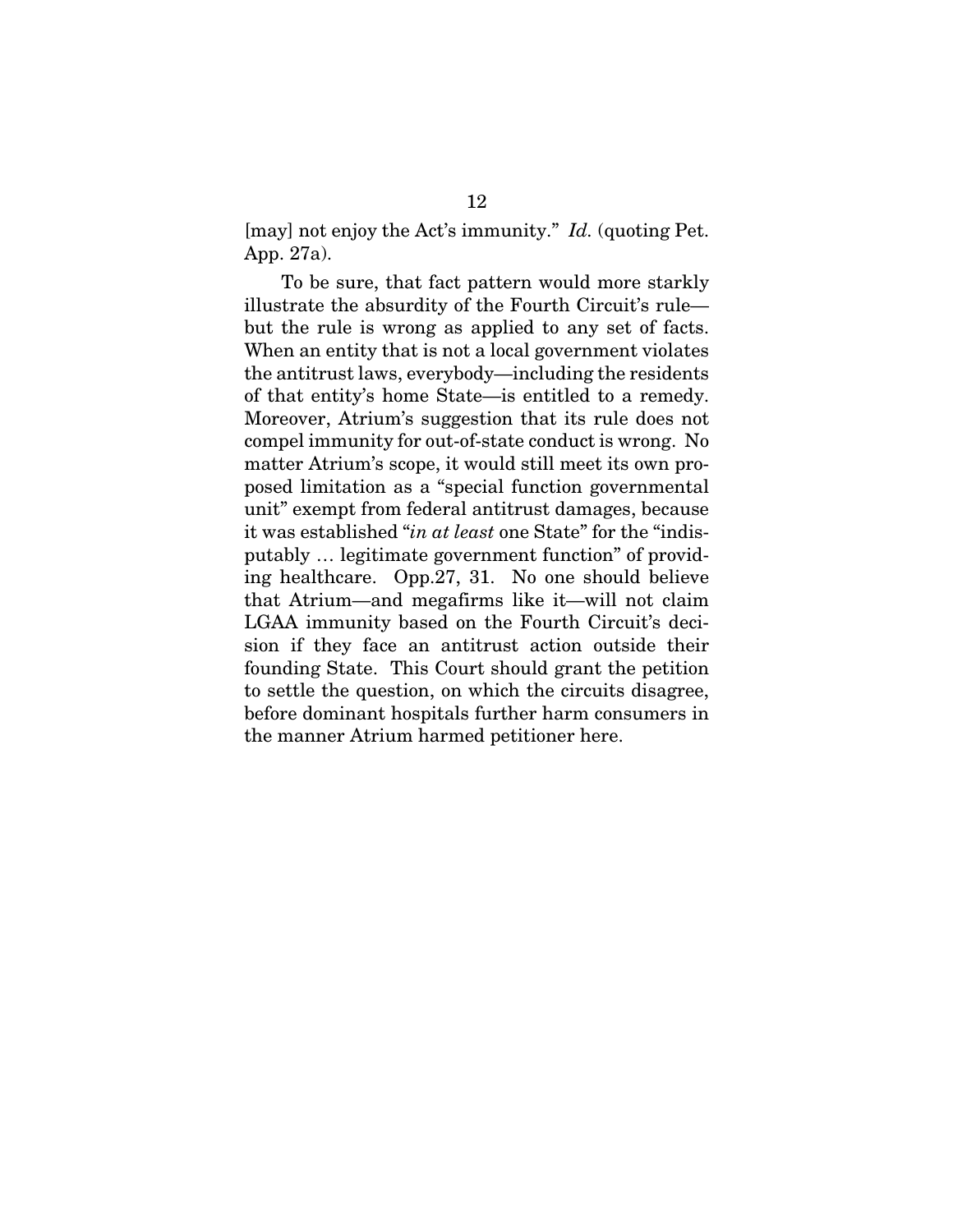[may] not enjoy the Act's immunity." *Id.* (quoting Pet. App. 27a).

To be sure, that fact pattern would more starkly illustrate the absurdity of the Fourth Circuit's rule but the rule is wrong as applied to any set of facts. When an entity that is not a local government violates the antitrust laws, everybody—including the residents of that entity's home State—is entitled to a remedy. Moreover, Atrium's suggestion that its rule does not compel immunity for out-of-state conduct is wrong. No matter Atrium's scope, it would still meet its own proposed limitation as a "special function governmental unit" exempt from federal antitrust damages, because it was established "*in at least* one State" for the "indisputably … legitimate government function" of providing healthcare. Opp.27, 31. No one should believe that Atrium—and megafirms like it—will not claim LGAA immunity based on the Fourth Circuit's decision if they face an antitrust action outside their founding State. This Court should grant the petition to settle the question, on which the circuits disagree, before dominant hospitals further harm consumers in the manner Atrium harmed petitioner here.